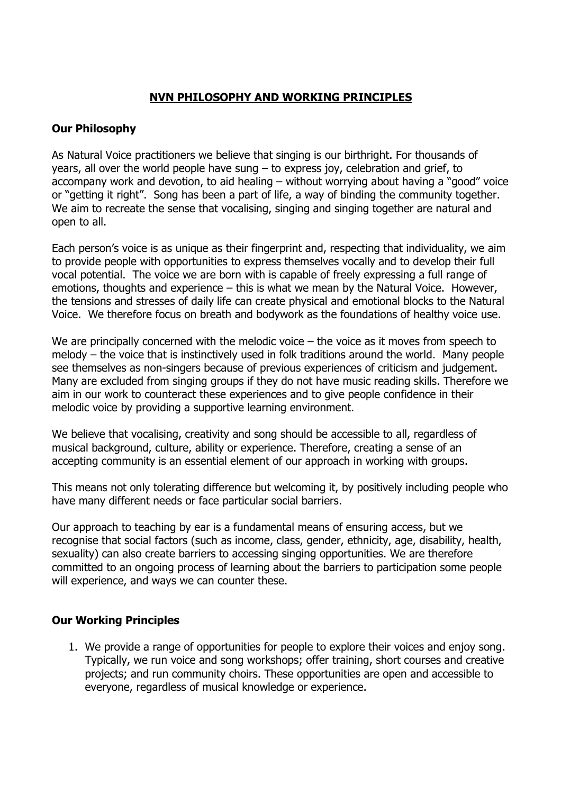## **NVN PHILOSOPHY AND WORKING PRINCIPLES**

## **Our Philosophy**

As Natural Voice practitioners we believe that singing is our birthright. For thousands of years, all over the world people have sung – to express joy, celebration and grief, to accompany work and devotion, to aid healing – without worrying about having a "good" voice or "getting it right". Song has been a part of life, a way of binding the community together. We aim to recreate the sense that vocalising, singing and singing together are natural and open to all.

Each person's voice is as unique as their fingerprint and, respecting that individuality, we aim to provide people with opportunities to express themselves vocally and to develop their full vocal potential. The voice we are born with is capable of freely expressing a full range of emotions, thoughts and experience – this is what we mean by the Natural Voice. However, the tensions and stresses of daily life can create physical and emotional blocks to the Natural Voice. We therefore focus on breath and bodywork as the foundations of healthy voice use.

We are principally concerned with the melodic voice – the voice as it moves from speech to melody – the voice that is instinctively used in folk traditions around the world. Many people see themselves as non-singers because of previous experiences of criticism and judgement. Many are excluded from singing groups if they do not have music reading skills. Therefore we aim in our work to counteract these experiences and to give people confidence in their melodic voice by providing a supportive learning environment.

We believe that vocalising, creativity and song should be accessible to all, regardless of musical background, culture, ability or experience. Therefore, creating a sense of an accepting community is an essential element of our approach in working with groups.

This means not only tolerating difference but welcoming it, by positively including people who have many different needs or face particular social barriers.

Our approach to teaching by ear is a fundamental means of ensuring access, but we recognise that social factors (such as income, class, gender, ethnicity, age, disability, health, sexuality) can also create barriers to accessing singing opportunities. We are therefore committed to an ongoing process of learning about the barriers to participation some people will experience, and ways we can counter these.

## **Our Working Principles**

1. We provide a range of opportunities for people to explore their voices and enjoy song. Typically, we run voice and song workshops; offer training, short courses and creative projects; and run community choirs. These opportunities are open and accessible to everyone, regardless of musical knowledge or experience.